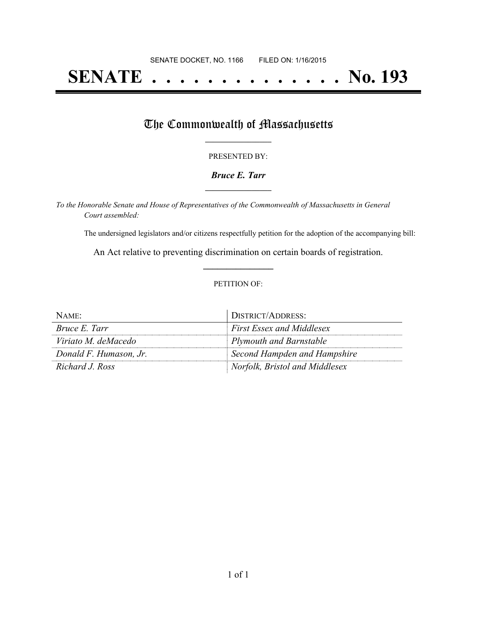# **SENATE . . . . . . . . . . . . . . No. 193**

## The Commonwealth of Massachusetts

#### PRESENTED BY:

#### *Bruce E. Tarr* **\_\_\_\_\_\_\_\_\_\_\_\_\_\_\_\_\_**

*To the Honorable Senate and House of Representatives of the Commonwealth of Massachusetts in General Court assembled:*

The undersigned legislators and/or citizens respectfully petition for the adoption of the accompanying bill:

An Act relative to preventing discrimination on certain boards of registration. **\_\_\_\_\_\_\_\_\_\_\_\_\_\_\_**

#### PETITION OF:

| NAME:                  | DISTRICT/ADDRESS:                |
|------------------------|----------------------------------|
| <i>Bruce E. Tarr</i>   | <b>First Essex and Middlesex</b> |
| Viriato M. deMacedo    | Plymouth and Barnstable          |
| Donald F. Humason, Jr. | Second Hampden and Hampshire     |
| Richard J. Ross        | Norfolk, Bristol and Middlesex   |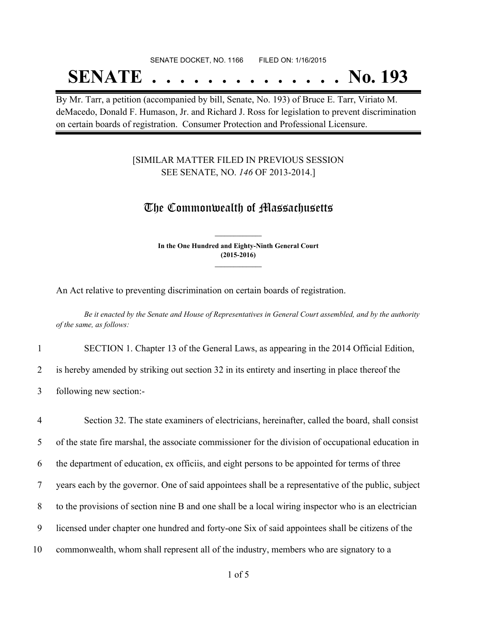## SENATE DOCKET, NO. 1166 FILED ON: 1/16/2015 **SENATE . . . . . . . . . . . . . . No. 193**

By Mr. Tarr, a petition (accompanied by bill, Senate, No. 193) of Bruce E. Tarr, Viriato M. deMacedo, Donald F. Humason, Jr. and Richard J. Ross for legislation to prevent discrimination on certain boards of registration. Consumer Protection and Professional Licensure.

### [SIMILAR MATTER FILED IN PREVIOUS SESSION SEE SENATE, NO. *146* OF 2013-2014.]

## The Commonwealth of Massachusetts

**In the One Hundred and Eighty-Ninth General Court (2015-2016) \_\_\_\_\_\_\_\_\_\_\_\_\_\_\_**

**\_\_\_\_\_\_\_\_\_\_\_\_\_\_\_**

An Act relative to preventing discrimination on certain boards of registration.

Be it enacted by the Senate and House of Representatives in General Court assembled, and by the authority *of the same, as follows:*

1 SECTION 1. Chapter 13 of the General Laws, as appearing in the 2014 Official Edition,

2 is hereby amended by striking out section 32 in its entirety and inserting in place thereof the

3 following new section:-

 Section 32. The state examiners of electricians, hereinafter, called the board, shall consist of the state fire marshal, the associate commissioner for the division of occupational education in the department of education, ex officiis, and eight persons to be appointed for terms of three years each by the governor. One of said appointees shall be a representative of the public, subject to the provisions of section nine B and one shall be a local wiring inspector who is an electrician licensed under chapter one hundred and forty-one Six of said appointees shall be citizens of the commonwealth, whom shall represent all of the industry, members who are signatory to a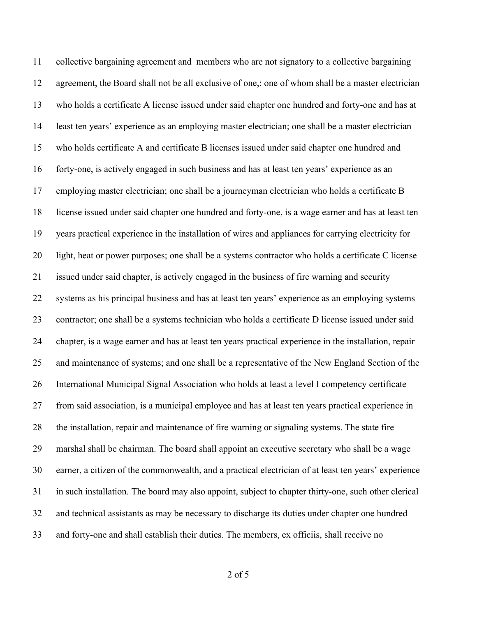collective bargaining agreement and members who are not signatory to a collective bargaining agreement, the Board shall not be all exclusive of one,: one of whom shall be a master electrician who holds a certificate A license issued under said chapter one hundred and forty-one and has at least ten years' experience as an employing master electrician; one shall be a master electrician who holds certificate A and certificate B licenses issued under said chapter one hundred and forty-one, is actively engaged in such business and has at least ten years' experience as an employing master electrician; one shall be a journeyman electrician who holds a certificate B license issued under said chapter one hundred and forty-one, is a wage earner and has at least ten years practical experience in the installation of wires and appliances for carrying electricity for light, heat or power purposes; one shall be a systems contractor who holds a certificate C license issued under said chapter, is actively engaged in the business of fire warning and security systems as his principal business and has at least ten years' experience as an employing systems contractor; one shall be a systems technician who holds a certificate D license issued under said chapter, is a wage earner and has at least ten years practical experience in the installation, repair and maintenance of systems; and one shall be a representative of the New England Section of the International Municipal Signal Association who holds at least a level I competency certificate from said association, is a municipal employee and has at least ten years practical experience in the installation, repair and maintenance of fire warning or signaling systems. The state fire marshal shall be chairman. The board shall appoint an executive secretary who shall be a wage earner, a citizen of the commonwealth, and a practical electrician of at least ten years' experience in such installation. The board may also appoint, subject to chapter thirty-one, such other clerical and technical assistants as may be necessary to discharge its duties under chapter one hundred and forty-one and shall establish their duties. The members, ex officiis, shall receive no

of 5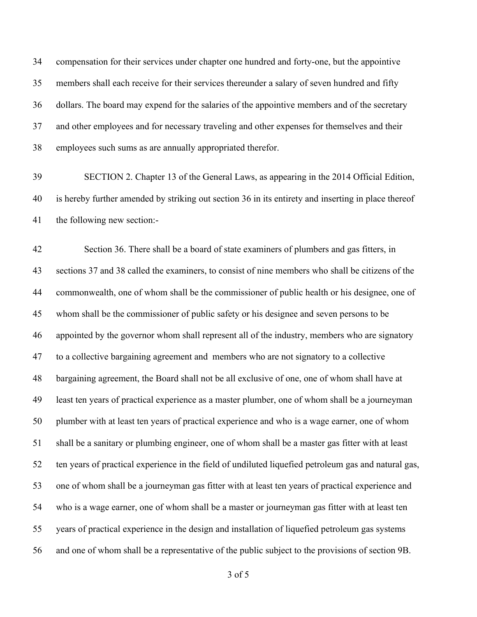compensation for their services under chapter one hundred and forty-one, but the appointive members shall each receive for their services thereunder a salary of seven hundred and fifty dollars. The board may expend for the salaries of the appointive members and of the secretary and other employees and for necessary traveling and other expenses for themselves and their employees such sums as are annually appropriated therefor.

 SECTION 2. Chapter 13 of the General Laws, as appearing in the 2014 Official Edition, is hereby further amended by striking out section 36 in its entirety and inserting in place thereof the following new section:-

 Section 36. There shall be a board of state examiners of plumbers and gas fitters, in sections 37 and 38 called the examiners, to consist of nine members who shall be citizens of the commonwealth, one of whom shall be the commissioner of public health or his designee, one of whom shall be the commissioner of public safety or his designee and seven persons to be appointed by the governor whom shall represent all of the industry, members who are signatory to a collective bargaining agreement and members who are not signatory to a collective bargaining agreement, the Board shall not be all exclusive of one, one of whom shall have at least ten years of practical experience as a master plumber, one of whom shall be a journeyman plumber with at least ten years of practical experience and who is a wage earner, one of whom shall be a sanitary or plumbing engineer, one of whom shall be a master gas fitter with at least ten years of practical experience in the field of undiluted liquefied petroleum gas and natural gas, one of whom shall be a journeyman gas fitter with at least ten years of practical experience and who is a wage earner, one of whom shall be a master or journeyman gas fitter with at least ten years of practical experience in the design and installation of liquefied petroleum gas systems and one of whom shall be a representative of the public subject to the provisions of section 9B.

of 5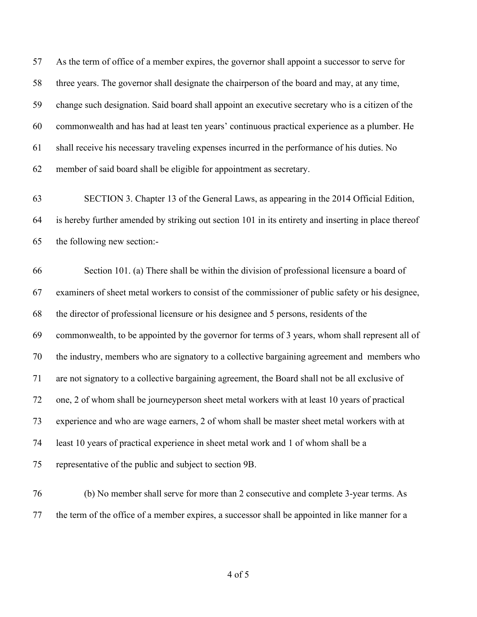As the term of office of a member expires, the governor shall appoint a successor to serve for three years. The governor shall designate the chairperson of the board and may, at any time, change such designation. Said board shall appoint an executive secretary who is a citizen of the commonwealth and has had at least ten years' continuous practical experience as a plumber. He shall receive his necessary traveling expenses incurred in the performance of his duties. No member of said board shall be eligible for appointment as secretary.

 SECTION 3. Chapter 13 of the General Laws, as appearing in the 2014 Official Edition, is hereby further amended by striking out section 101 in its entirety and inserting in place thereof the following new section:-

 Section 101. (a) There shall be within the division of professional licensure a board of examiners of sheet metal workers to consist of the commissioner of public safety or his designee, the director of professional licensure or his designee and 5 persons, residents of the commonwealth, to be appointed by the governor for terms of 3 years, whom shall represent all of the industry, members who are signatory to a collective bargaining agreement and members who are not signatory to a collective bargaining agreement, the Board shall not be all exclusive of one, 2 of whom shall be journeyperson sheet metal workers with at least 10 years of practical experience and who are wage earners, 2 of whom shall be master sheet metal workers with at least 10 years of practical experience in sheet metal work and 1 of whom shall be a representative of the public and subject to section 9B.

 (b) No member shall serve for more than 2 consecutive and complete 3-year terms. As the term of the office of a member expires, a successor shall be appointed in like manner for a